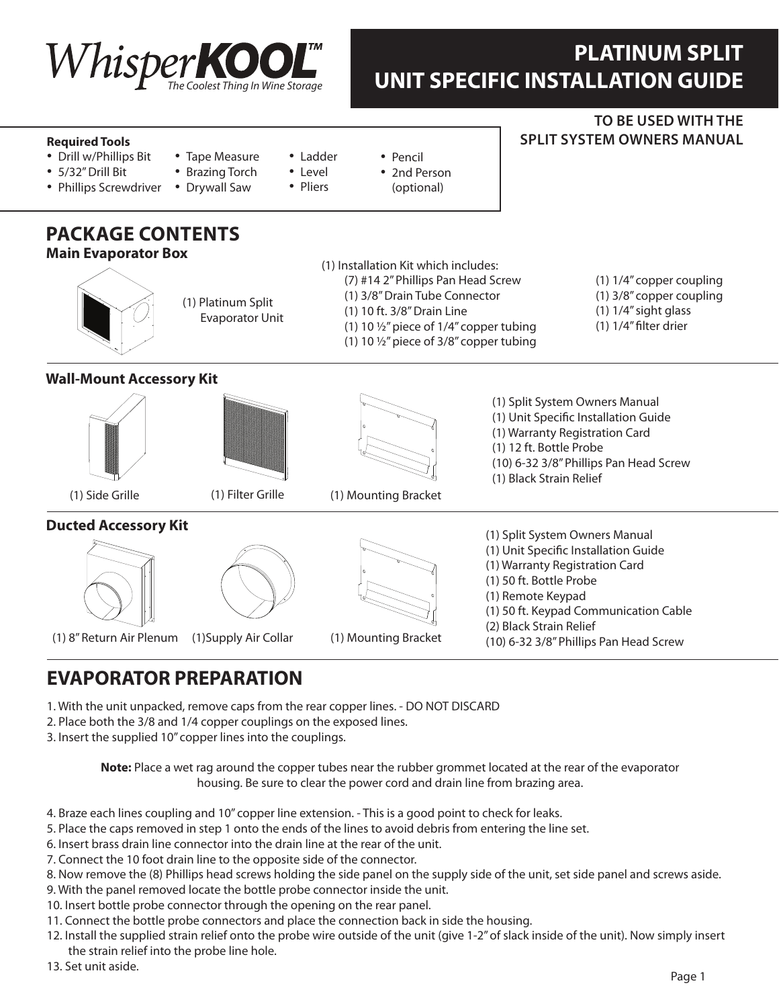

## **PLATINUM SPLIT UNIT SPECIFIC INSTALLATION GUIDE**

**To be used with THE**

**SPLIT SYSTEM OWNERS MANUAL** 

#### **Required Tools**

- Drill w/Phillips Bit
- • 5/32" Drill Bit
- Tape Measure • Brazing Torch
- Phillips Screwdriver
	- Drywall Saw
- • Pencil
- 2nd Person

• Ladder • Level • Pliers

(optional)

# **Package Contents**

#### (1) Split System Owners Manual (1) Unit Specific Installation Guide (1) Warranty Registration Card (1) 50 ft. Bottle Probe (1) Remote Keypad (1) 50 ft. Keypad Communication Cable (2) Black Strain Relief (10) 6-32 3/8" Phillips Pan Head Screw (1) Platinum Split Evaporator Unit (1) Installation Kit which includes: (7) #14 2" Phillips Pan Head Screw (1) 3/8" Drain Tube Connector (1) 10 ft. 3/8" Drain Line (1) 10  $\frac{1}{2}$ " piece of 1/4" copper tubing (1) 10  $\frac{1}{2}$ " piece of 3/8" copper tubing (1) 1/4" copper coupling (1) 3/8" copper coupling (1) 1/4" sight glass (1) 1/4" filter drier (1) Side Grille (1) 8" Return Air Plenum (1) Supply Air Collar (1) Filter Grille (1) Mounting Bracket (1) Mounting Bracket **Wall-Mount Accessory Kit Ducted Accessory Kit Main Evaporator Box** (1) Split System Owners Manual (1) Unit Specific Installation Guide (1) Warranty Registration Card (1) 12 ft. Bottle Probe (10) 6-32 3/8" Phillips Pan Head Screw (1) Black Strain Relief

### **EVAPORATOR PREPARATION**

- 1. With the unit unpacked, remove caps from the rear copper lines. DO NOT DISCARD
- 2. Place both the 3/8 and 1/4 copper couplings on the exposed lines.
- 3. Insert the supplied 10" copper lines into the couplings.

**Note:** Place a wet rag around the copper tubes near the rubber grommet located at the rear of the evaporator housing. Be sure to clear the power cord and drain line from brazing area.

- 4. Braze each lines coupling and 10" copper line extension. This is a good point to check for leaks.
- 5. Place the caps removed in step 1 onto the ends of the lines to avoid debris from entering the line set.
- 6. Insert brass drain line connector into the drain line at the rear of the unit.
- 7. Connect the 10 foot drain line to the opposite side of the connector.
- 8. Now remove the (8) Phillips head screws holding the side panel on the supply side of the unit, set side panel and screws aside.
- 9. With the panel removed locate the bottle probe connector inside the unit.
- 10. Insert bottle probe connector through the opening on the rear panel.
- 11. Connect the bottle probe connectors and place the connection back in side the housing.
- 12. Install the supplied strain relief onto the probe wire outside of the unit (give 1-2" of slack inside of the unit). Now simply insert the strain relief into the probe line hole.
- 13. Set unit aside.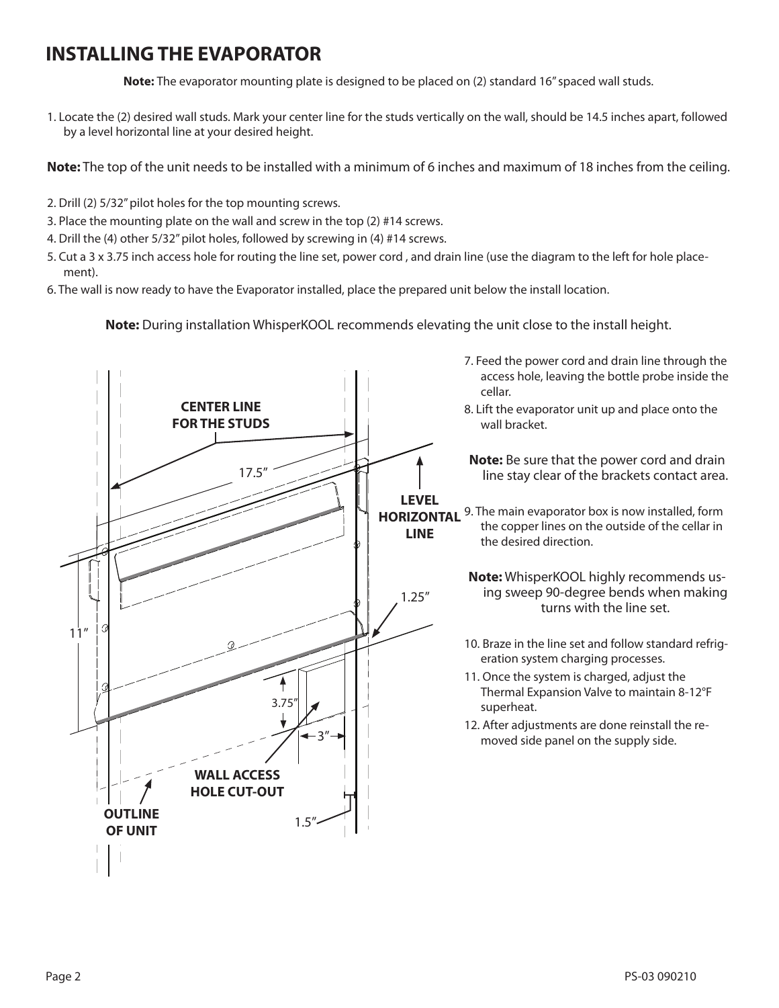#### **INSTALLINGTHE EVAPORATOR**

**Note:** The evaporator mounting plate is designed to be placed on (2) standard 16" spaced wall studs.

1. Locate the (2) desired wall studs. Mark your center line for the studs vertically on the wall, should be 14.5 inches apart, followed by a level horizontal line at your desired height.

**Note:** The top of the unit needs to be installed with a minimum of 6 inches and maximum of 18 inches from the ceiling.

- 2. Drill (2) 5/32" pilot holes for the top mounting screws.
- 3. Place the mounting plate on the wall and screw in the top (2) #14 screws.
- 4. Drill the (4) other 5/32" pilot holes, followed by screwing in (4) #14 screws.
- 5. Cut a 3 x 3.75 inch access hole for routing the line set, power cord , and drain line (use the diagram to the left for hole placement).
- 6. The wall is now ready to have the Evaporator installed, place the prepared unit below the install location.

**Note:** During installation WhisperKOOL recommends elevating the unit close to the install height.

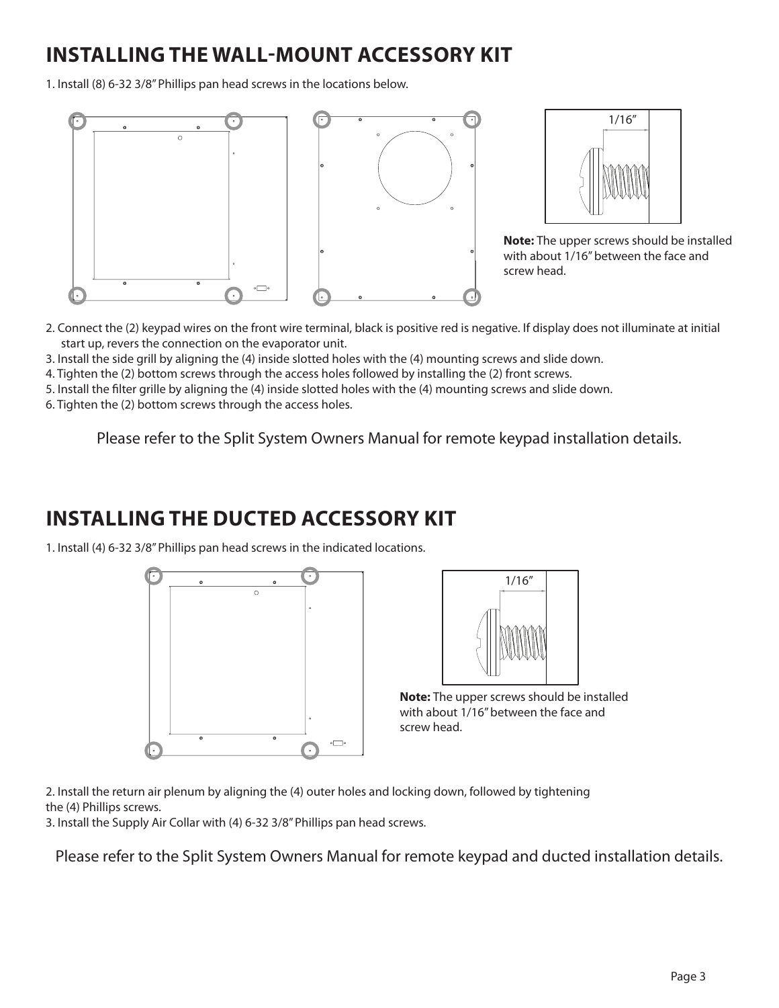## **Installing the wall-mount accessory kit**

1. Install (8) 6-32 3/8" Phillips pan head screws in the locations below.





**Note:** The upper screws should be installed with about 1/16" between the face and screw head.

- 2. Connect the (2) keypad wires on the front wire terminal, black is positive red is negative. If display does not illuminate at initial start up, revers the connection on the evaporator unit.
- 3. Install the side grill by aligning the (4) inside slotted holes with the (4) mounting screws and slide down.
- 4. Tighten the (2) bottom screws through the access holes followed by installing the (2) front screws.
- 5. Install the filter grille by aligning the (4) inside slotted holes with the (4) mounting screws and slide down.

6. Tighten the (2) bottom screws through the access holes.

Please refer to the Split System Owners Manual for remote keypad installation details.

### **Installing the Ducted accessory kit**

1. Install (4) 6-32 3/8" Phillips pan head screws in the indicated locations.





**Note:** The upper screws should be installed with about 1/16" between the face and screw head.

2. Install the return air plenum by aligning the (4) outer holes and locking down, followed by tightening the (4) Phillips screws.

3. Install the Supply Air Collar with (4) 6-32 3/8" Phillips pan head screws.

Please refer to the Split System Owners Manual for remote keypad and ducted installation details.